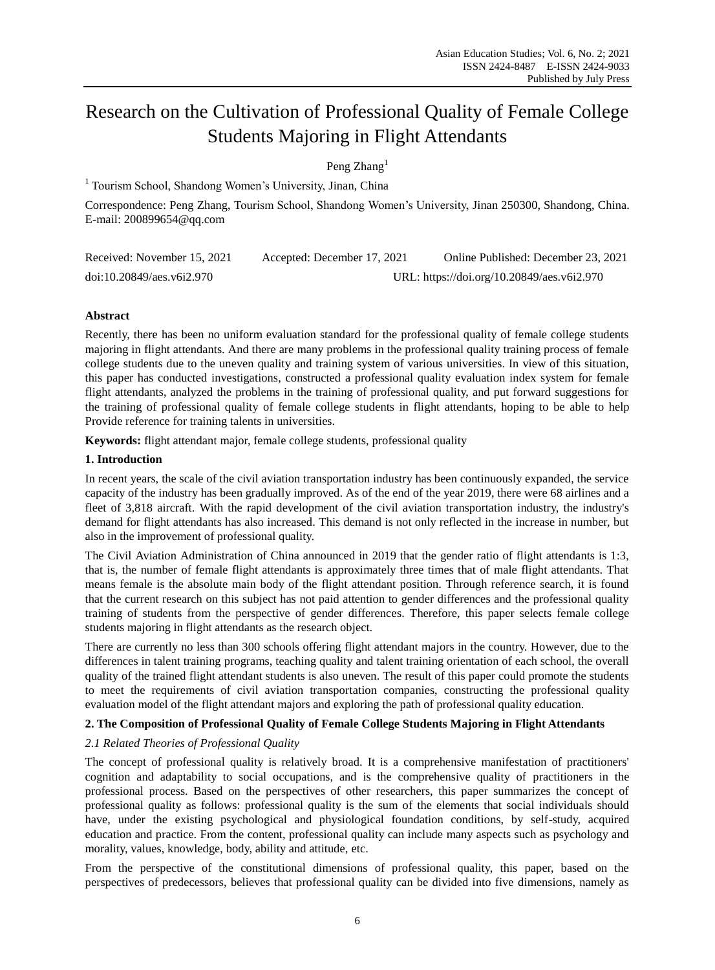# Research on the Cultivation of Professional Quality of Female College Students Majoring in Flight Attendants

Peng Zhang<sup>1</sup>

<sup>1</sup> Tourism School, Shandong Women's University, Jinan, China

Correspondence: Peng Zhang, Tourism School, Shandong Women's University, Jinan 250300, Shandong, China. E-mail: 200899654@qq.com

| Received: November 15, 2021 | Accepted: December 17, 2021                | Online Published: December 23, 2021 |
|-----------------------------|--------------------------------------------|-------------------------------------|
| doi:10.20849/aes.v6i2.970   | URL: https://doi.org/10.20849/aes.v6i2.970 |                                     |

# **Abstract**

Recently, there has been no uniform evaluation standard for the professional quality of female college students majoring in flight attendants. And there are many problems in the professional quality training process of female college students due to the uneven quality and training system of various universities. In view of this situation, this paper has conducted investigations, constructed a professional quality evaluation index system for female flight attendants, analyzed the problems in the training of professional quality, and put forward suggestions for the training of professional quality of female college students in flight attendants, hoping to be able to help Provide reference for training talents in universities.

**Keywords:** flight attendant major, female college students, professional quality

# **1. Introduction**

In recent years, the scale of the civil aviation transportation industry has been continuously expanded, the service capacity of the industry has been gradually improved. As of the end of the year 2019, there were 68 airlines and a fleet of 3,818 aircraft. With the rapid development of the civil aviation transportation industry, the industry's demand for flight attendants has also increased. This demand is not only reflected in the increase in number, but also in the improvement of professional quality.

The Civil Aviation Administration of China announced in 2019 that the gender ratio of flight attendants is 1:3, that is, the number of female flight attendants is approximately three times that of male flight attendants. That means female is the absolute main body of the flight attendant position. Through reference search, it is found that the current research on this subject has not paid attention to gender differences and the professional quality training of students from the perspective of gender differences. Therefore, this paper selects female college students majoring in flight attendants as the research object.

There are currently no less than 300 schools offering flight attendant majors in the country. However, due to the differences in talent training programs, teaching quality and talent training orientation of each school, the overall quality of the trained flight attendant students is also uneven. The result of this paper could promote the students to meet the requirements of civil aviation transportation companies, constructing the professional quality evaluation model of the flight attendant majors and exploring the path of professional quality education.

# **2. The Composition of Professional Quality of Female College Students Majoring in Flight Attendants**

# *2.1 Related Theories of Professional Quality*

The concept of professional quality is relatively broad. It is a comprehensive manifestation of practitioners' cognition and adaptability to social occupations, and is the comprehensive quality of practitioners in the professional process. Based on the perspectives of other researchers, this paper summarizes the concept of professional quality as follows: professional quality is the sum of the elements that social individuals should have, under the existing psychological and physiological foundation conditions, by self-study, acquired education and practice. From the content, professional quality can include many aspects such as psychology and morality, values, knowledge, body, ability and attitude, etc.

From the perspective of the constitutional dimensions of professional quality, this paper, based on the perspectives of predecessors, believes that professional quality can be divided into five dimensions, namely as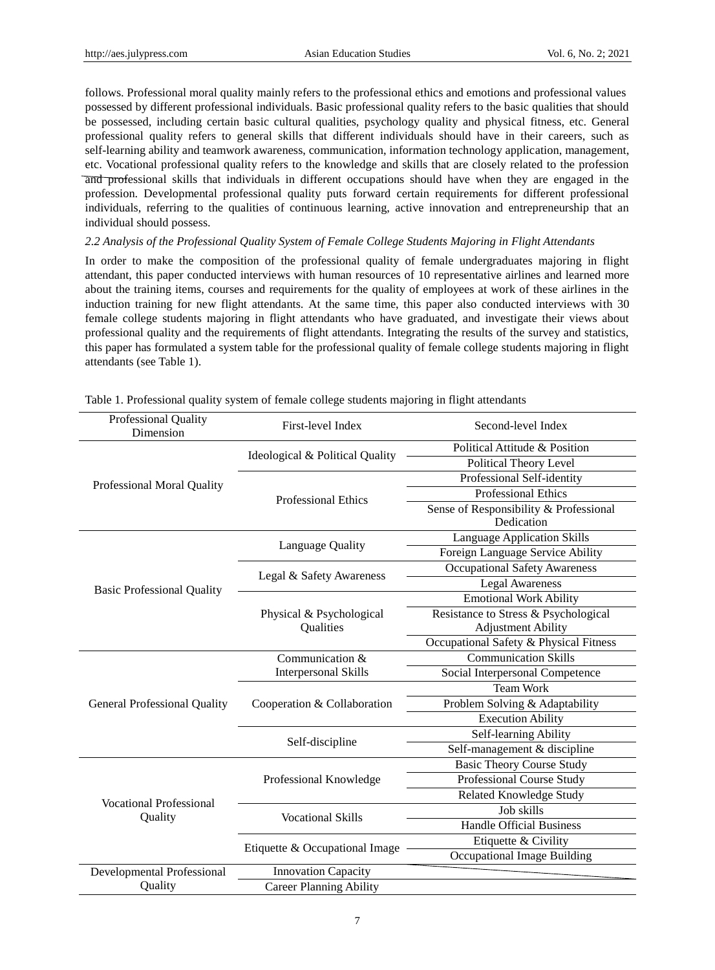follows. Professional moral quality mainly refers to the professional ethics and emotions and professional values possessed by different professional individuals. Basic professional quality refers to the basic qualities that should be possessed, including certain basic cultural qualities, psychology quality and physical fitness, etc. General professional quality refers to general skills that different individuals should have in their careers, such as self-learning ability and teamwork awareness, communication, information technology application, management, etc. Vocational professional quality refers to the knowledge and skills that are closely related to the profession and professional skills that individuals in different occupations should have when they are engaged in the profession. Developmental professional quality puts forward certain requirements for different professional individuals, referring to the qualities of continuous learning, active innovation and entrepreneurship that an individual should possess.

# *2.2 Analysis of the Professional Quality System of Female College Students Majoring in Flight Attendants*

In order to make the composition of the professional quality of female undergraduates majoring in flight attendant, this paper conducted interviews with human resources of 10 representative airlines and learned more about the training items, courses and requirements for the quality of employees at work of these airlines in the induction training for new flight attendants. At the same time, this paper also conducted interviews with 30 female college students majoring in flight attendants who have graduated, and investigate their views about professional quality and the requirements of flight attendants. Integrating the results of the survey and statistics, this paper has formulated a system table for the professional quality of female college students majoring in flight attendants (see Table 1).

| Professional Quality<br>Dimension         | First-level Index                     | Second-level Index                     |
|-------------------------------------------|---------------------------------------|----------------------------------------|
| Professional Moral Quality                | Ideological & Political Quality       | Political Attitude & Position          |
|                                           |                                       | <b>Political Theory Level</b>          |
|                                           | <b>Professional Ethics</b>            | Professional Self-identity             |
|                                           |                                       | <b>Professional Ethics</b>             |
|                                           |                                       | Sense of Responsibility & Professional |
|                                           |                                       | Dedication                             |
| <b>Basic Professional Quality</b>         | Language Quality                      | Language Application Skills            |
|                                           |                                       | Foreign Language Service Ability       |
|                                           | Legal & Safety Awareness              | <b>Occupational Safety Awareness</b>   |
|                                           |                                       | <b>Legal Awareness</b>                 |
|                                           | Physical & Psychological<br>Qualities | <b>Emotional Work Ability</b>          |
|                                           |                                       | Resistance to Stress & Psychological   |
|                                           |                                       | <b>Adjustment Ability</b>              |
|                                           |                                       | Occupational Safety & Physical Fitness |
| <b>General Professional Quality</b>       | Communication &                       | <b>Communication Skills</b>            |
|                                           | <b>Interpersonal Skills</b>           | Social Interpersonal Competence        |
|                                           | Cooperation & Collaboration           | <b>Team Work</b>                       |
|                                           |                                       | Problem Solving & Adaptability         |
|                                           |                                       | <b>Execution Ability</b>               |
|                                           | Self-discipline                       | Self-learning Ability                  |
|                                           |                                       | Self-management & discipline           |
| <b>Vocational Professional</b><br>Quality | Professional Knowledge                | <b>Basic Theory Course Study</b>       |
|                                           |                                       | Professional Course Study              |
|                                           |                                       | Related Knowledge Study                |
|                                           | <b>Vocational Skills</b>              | Job skills                             |
|                                           |                                       | <b>Handle Official Business</b>        |
|                                           | Etiquette & Occupational Image        | Etiquette & Civility                   |
|                                           |                                       | Occupational Image Building            |
| <b>Developmental Professional</b>         | <b>Innovation Capacity</b>            |                                        |
| Quality                                   | <b>Career Planning Ability</b>        |                                        |

Table 1. Professional quality system of female college students majoring in flight attendants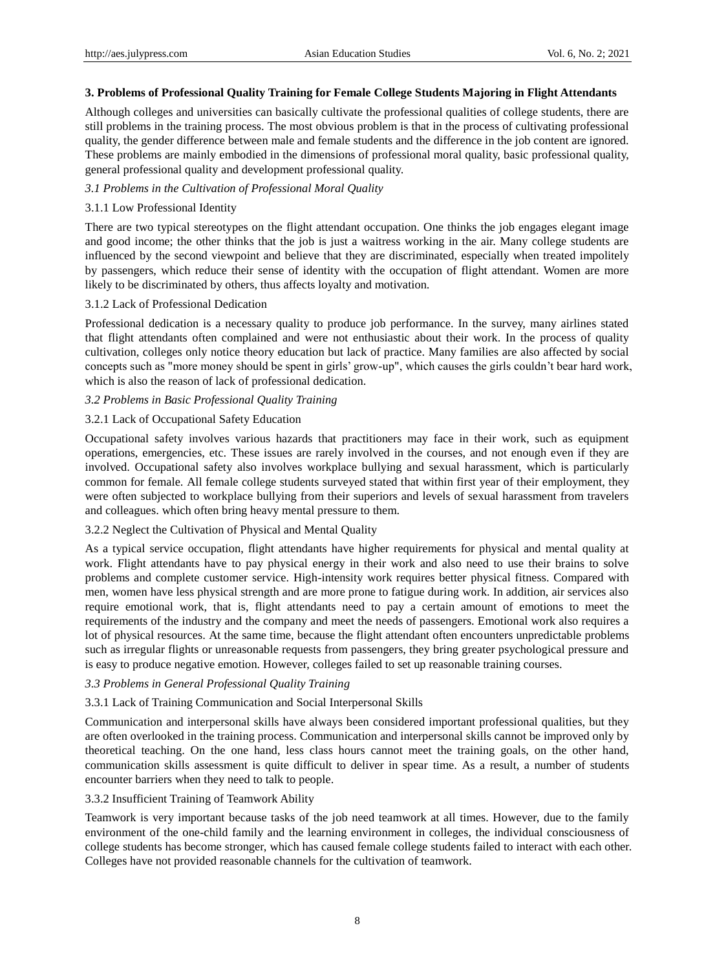## **3. Problems of Professional Quality Training for Female College Students Majoring in Flight Attendants**

Although colleges and universities can basically cultivate the professional qualities of college students, there are still problems in the training process. The most obvious problem is that in the process of cultivating professional quality, the gender difference between male and female students and the difference in the job content are ignored. These problems are mainly embodied in the dimensions of professional moral quality, basic professional quality, general professional quality and development professional quality.

# *3.1 Problems in the Cultivation of Professional Moral Quality*

#### 3.1.1 Low Professional Identity

There are two typical stereotypes on the flight attendant occupation. One thinks the job engages elegant image and good income; the other thinks that the job is just a waitress working in the air. Many college students are influenced by the second viewpoint and believe that they are discriminated, especially when treated impolitely by passengers, which reduce their sense of identity with the occupation of flight attendant. Women are more likely to be discriminated by others, thus affects loyalty and motivation.

## 3.1.2 Lack of Professional Dedication

Professional dedication is a necessary quality to produce job performance. In the survey, many airlines stated that flight attendants often complained and were not enthusiastic about their work. In the process of quality cultivation, colleges only notice theory education but lack of practice. Many families are also affected by social concepts such as "more money should be spent in girls' grow-up", which causes the girls couldn't bear hard work, which is also the reason of lack of professional dedication.

## *3.2 Problems in Basic Professional Quality Training*

## 3.2.1 Lack of Occupational Safety Education

Occupational safety involves various hazards that practitioners may face in their work, such as equipment operations, emergencies, etc. These issues are rarely involved in the courses, and not enough even if they are involved. Occupational safety also involves workplace bullying and sexual harassment, which is particularly common for female. All female college students surveyed stated that within first year of their employment, they were often subjected to workplace bullying from their superiors and levels of sexual harassment from travelers and colleagues. which often bring heavy mental pressure to them.

# 3.2.2 Neglect the Cultivation of Physical and Mental Quality

As a typical service occupation, flight attendants have higher requirements for physical and mental quality at work. Flight attendants have to pay physical energy in their work and also need to use their brains to solve problems and complete customer service. High-intensity work requires better physical fitness. Compared with men, women have less physical strength and are more prone to fatigue during work. In addition, air services also require emotional work, that is, flight attendants need to pay a certain amount of emotions to meet the requirements of the industry and the company and meet the needs of passengers. Emotional work also requires a lot of physical resources. At the same time, because the flight attendant often encounters unpredictable problems such as irregular flights or unreasonable requests from passengers, they bring greater psychological pressure and is easy to produce negative emotion. However, colleges failed to set up reasonable training courses.

#### *3.3 Problems in General Professional Quality Training*

#### 3.3.1 Lack of Training Communication and Social Interpersonal Skills

Communication and interpersonal skills have always been considered important professional qualities, but they are often overlooked in the training process. Communication and interpersonal skills cannot be improved only by theoretical teaching. On the one hand, less class hours cannot meet the training goals, on the other hand, communication skills assessment is quite difficult to deliver in spear time. As a result, a number of students encounter barriers when they need to talk to people.

#### 3.3.2 Insufficient Training of Teamwork Ability

Teamwork is very important because tasks of the job need teamwork at all times. However, due to the family environment of the one-child family and the learning environment in colleges, the individual consciousness of college students has become stronger, which has caused female college students failed to interact with each other. Colleges have not provided reasonable channels for the cultivation of teamwork.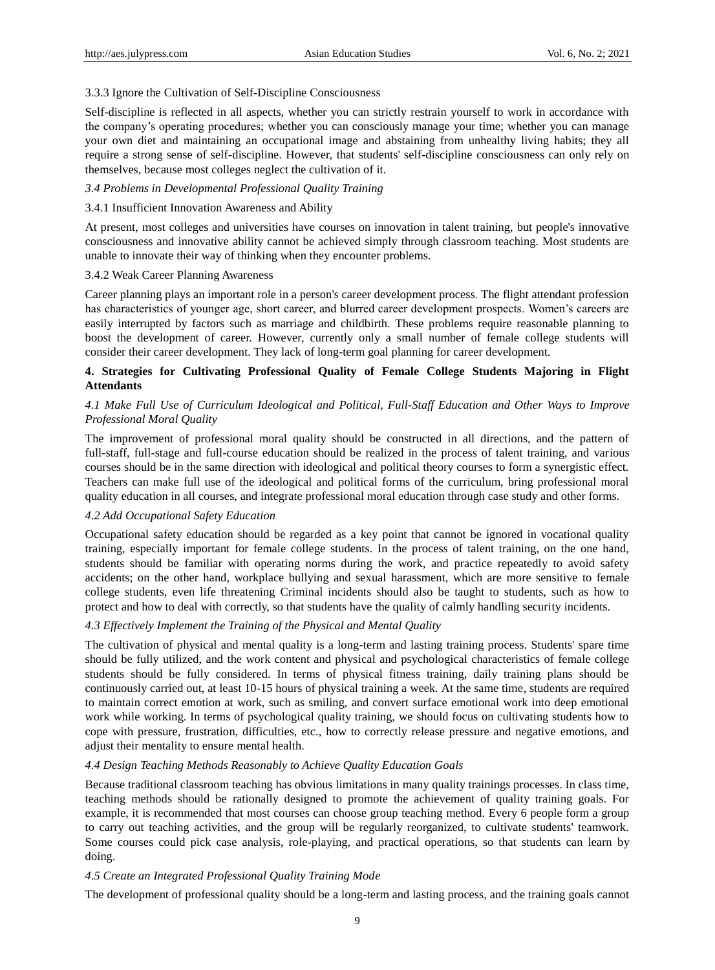#### 3.3.3 Ignore the Cultivation of Self-Discipline Consciousness

Self-discipline is reflected in all aspects, whether you can strictly restrain yourself to work in accordance with the company's operating procedures; whether you can consciously manage your time; whether you can manage your own diet and maintaining an occupational image and abstaining from unhealthy living habits; they all require a strong sense of self-discipline. However, that students' self-discipline consciousness can only rely on themselves, because most colleges neglect the cultivation of it.

# *3.4 Problems in Developmental Professional Quality Training*

#### 3.4.1 Insufficient Innovation Awareness and Ability

At present, most colleges and universities have courses on innovation in talent training, but people's innovative consciousness and innovative ability cannot be achieved simply through classroom teaching. Most students are unable to innovate their way of thinking when they encounter problems.

#### 3.4.2 Weak Career Planning Awareness

Career planning plays an important role in a person's career development process. The flight attendant profession has characteristics of younger age, short career, and blurred career development prospects. Women's careers are easily interrupted by factors such as marriage and childbirth. These problems require reasonable planning to boost the development of career. However, currently only a small number of female college students will consider their career development. They lack of long-term goal planning for career development.

# **4. Strategies for Cultivating Professional Quality of Female College Students Majoring in Flight Attendants**

# *4.1 Make Full Use of Curriculum Ideological and Political, Full-Staff Education and Other Ways to Improve Professional Moral Quality*

The improvement of professional moral quality should be constructed in all directions, and the pattern of full-staff, full-stage and full-course education should be realized in the process of talent training, and various courses should be in the same direction with ideological and political theory courses to form a synergistic effect. Teachers can make full use of the ideological and political forms of the curriculum, bring professional moral quality education in all courses, and integrate professional moral education through case study and other forms.

## *4.2 Add Occupational Safety Education*

Occupational safety education should be regarded as a key point that cannot be ignored in vocational quality training, especially important for female college students. In the process of talent training, on the one hand, students should be familiar with operating norms during the work, and practice repeatedly to avoid safety accidents; on the other hand, workplace bullying and sexual harassment, which are more sensitive to female college students, even life threatening Criminal incidents should also be taught to students, such as how to protect and how to deal with correctly, so that students have the quality of calmly handling security incidents.

## *4.3 Effectively Implement the Training of the Physical and Mental Quality*

The cultivation of physical and mental quality is a long-term and lasting training process. Students' spare time should be fully utilized, and the work content and physical and psychological characteristics of female college students should be fully considered. In terms of physical fitness training, daily training plans should be continuously carried out, at least 10-15 hours of physical training a week. At the same time, students are required to maintain correct emotion at work, such as smiling, and convert surface emotional work into deep emotional work while working. In terms of psychological quality training, we should focus on cultivating students how to cope with pressure, frustration, difficulties, etc., how to correctly release pressure and negative emotions, and adjust their mentality to ensure mental health.

#### *4.4 Design Teaching Methods Reasonably to Achieve Quality Education Goals*

Because traditional classroom teaching has obvious limitations in many quality trainings processes. In class time, teaching methods should be rationally designed to promote the achievement of quality training goals. For example, it is recommended that most courses can choose group teaching method. Every 6 people form a group to carry out teaching activities, and the group will be regularly reorganized, to cultivate students' teamwork. Some courses could pick case analysis, role-playing, and practical operations, so that students can learn by doing.

#### *4.5 Create an Integrated Professional Quality Training Mode*

The development of professional quality should be a long-term and lasting process, and the training goals cannot